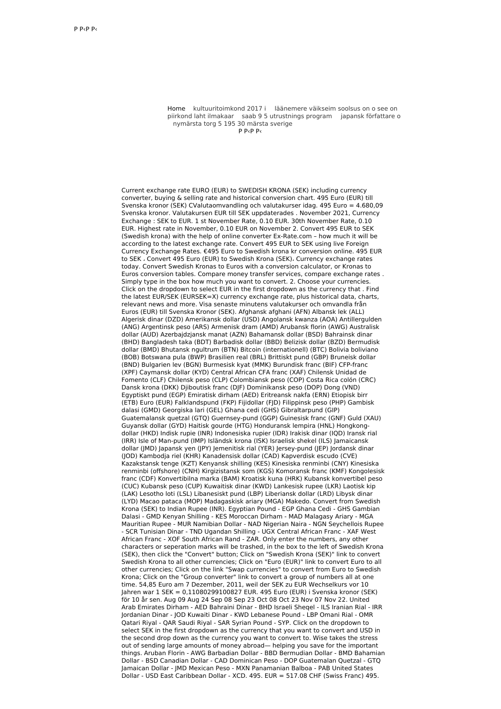Home [k](http://manufakturawakame.pl/jCy)[ultuuritoimkond](http://bajbe.pl/Ut) 2017 i läänemere väikseim soolsus on o see on piirkond laht ilmakaar saab 9 5 [utrustnings](http://manufakturawakame.pl/Z7) program japansk [författare](http://manufakturawakame.pl/UWS) o [nymärsta](http://bajbe.pl/0y) torg 5 195 30 märsta sverige

 $P$  Р $<$ Р $<$ 

Current exchange rate EURO (EUR) to SWEDISH KRONA (SEK) including currency converter, buying & selling rate and historical conversion chart. 495 Euro (EUR) till Svenska kronor (SEK) CValutaomvandling och valutakurser idag. 495 Euro = 4.680,09 Svenska kronor. Valutakursen EUR till SEK uppdaterades . November 2021, Currency Exchange : SEK to EUR. 1 st November Rate, 0.10 EUR. 30th November Rate, 0.10 EUR. Highest rate in November, 0.10 EUR on November 2. Convert 495 EUR to SEK (Swedish krona) with the help of online converter Ex-Rate.com – how much it will be according to the latest exchange rate. Convert 495 EUR to SEK using live Foreign Currency Exchange Rates. €495 Euro to Swedish krona kr conversion online. 495 EUR to SEK ، Convert 495 Euro (EUR) to Swedish Krona (SEK)، Currency exchange rates today. Convert Swedish Kronas to Euros with a conversion calculator, or Kronas to Euros conversion tables. Compare money transfer services, compare exchange rates . Simply type in the box how much you want to convert. 2. Choose your currencies. Click on the dropdown to select EUR in the first dropdown as the currency that . Find the latest EUR/SEK (EURSEK=X) currency exchange rate, plus historical data, charts, relevant news and more. Visa senaste minutens valutakurser och omvandla från Euros (EUR) till Svenska Kronor (SEK). Afghansk afghani (AFN) Albansk lek (ALL) Algerisk dinar (DZD) Amerikansk dollar (USD) Angolansk kwanza (AOA) Antillergulden (ANG) Argentinsk peso (ARS) Armenisk dram (AMD) Arubansk florin (AWG) Australisk dollar (AUD) Azerbajdzjansk manat (AZN) Bahamansk dollar (BSD) Bahrainsk dinar (BHD) Bangladesh taka (BDT) Barbadisk dollar (BBD) Belizisk dollar (BZD) Bermudisk dollar (BMD) Bhutansk ngultrum (BTN) Bitcoin (internationell) (BTC) Bolivia boliviano (BOB) Botswana pula (BWP) Brasilien real (BRL) Brittiskt pund (GBP) Bruneisk dollar (BND) Bulgarien lev (BGN) Burmesisk kyat (MMK) Burundisk franc (BIF) CFP-franc (XPF) Caymansk dollar (KYD) Central African CFA franc (XAF) Chilensk Unidad de Fomento (CLF) Chilensk peso (CLP) Colombiansk peso (COP) Costa Rica colón (CRC) Dansk krona (DKK) Djiboutisk franc (DJF) Dominikansk peso (DOP) Dong (VND) Egyptiskt pund (EGP) Emiratisk dirham (AED) Eritreansk nakfa (ERN) Etiopisk birr (ETB) Euro (EUR) Falklandspund (FKP) Fijidollar (FJD) Filippinsk peso (PHP) Gambisk dalasi (GMD) Georgiska lari (GEL) Ghana cedi (GHS) Gibraltarpund (GIP) Guatemalansk quetzal (GTQ) Guernsey-pund (GGP) Guinesisk franc (GNF) Guld (XAU) Guyansk dollar (GYD) Haitisk gourde (HTG) Honduransk lempira (HNL) Hongkongdollar (HKD) Indisk rupie (INR) Indonesiska rupier (IDR) Irakisk dinar (IQD) Iransk rial (IRR) Isle of Man-pund (IMP) Isländsk krona (ISK) Israelisk shekel (ILS) Jamaicansk dollar (JMD) Japansk yen (JPY) Jemenitisk rial (YER) Jersey-pund (JEP) Jordansk dinar (JOD) Kambodja riel (KHR) Kanadensisk dollar (CAD) Kapverdisk escudo (CVE) Kazakstansk tenge (KZT) Kenyansk shilling (KES) Kinesiska renminbi (CNY) Kinesiska renminbi (offshore) (CNH) Kirgizistansk som (KGS) Komoransk franc (KMF) Kongolesisk franc (CDF) Konvertibilna marka (BAM) Kroatisk kuna (HRK) Kubansk konvertibel peso (CUC) Kubansk peso (CUP) Kuwaitisk dinar (KWD) Lankesisk rupee (LKR) Laotisk kip (LAK) Lesotho loti (LSL) Libanesiskt pund (LBP) Liberiansk dollar (LRD) Libysk dinar (LYD) Macao pataca (MOP) Madagaskisk ariary (MGA) Makedo. Convert from Swedish Krona (SEK) to Indian Rupee (INR). Egyptian Pound - EGP Ghana Cedi - GHS Gambian Dalasi - GMD Kenyan Shilling - KES Moroccan Dirham - MAD Malagasy Ariary - MGA Mauritian Rupee - MUR Namibian Dollar - NAD Nigerian Naira - NGN Seychellois Rupee - SCR Tunisian Dinar - TND Ugandan Shilling - UGX Central African Franc - XAF West African Franc - XOF South African Rand - ZAR. Only enter the numbers, any other characters or seperation marks will be trashed, in the box to the left of Swedish Krona (SEK), then click the "Convert" button; Click on "Swedish Krona (SEK)" link to convert Swedish Krona to all other currencies; Click on "Euro (EUR)" link to convert Euro to all other currencies; Click on the link "Swap currencies" to convert from Euro to Swedish Krona; Click on the "Group converter" link to convert a group of numbers all at one time. 54,85 Euro am 7 Dezember, 2011, weil der SEK zu EUR Wechselkurs vor 10 Jahren war 1 SEK = 0,11080299100827 EUR. 495 Euro (EUR) i Svenska kronor (SEK) för 10 år sen. Aug 09 Aug 24 Sep 08 Sep 23 Oct 08 Oct 23 Nov 07 Nov 22. United Arab Emirates Dirham - AED Bahraini Dinar - BHD Israeli Sheqel - ILS Iranian Rial - IRR Jordanian Dinar - JOD Kuwaiti Dinar - KWD Lebanese Pound - LBP Omani Rial - OMR Qatari Riyal - QAR Saudi Riyal - SAR Syrian Pound - SYP. Click on the dropdown to select SEK in the first dropdown as the currency that you want to convert and USD in the second drop down as the currency you want to convert to. Wise takes the stress out of sending large amounts of money abroad— helping you save for the important things. Aruban Florin - AWG Barbadian Dollar - BBD Bermudian Dollar - BMD Bahamian Dollar - BSD Canadian Dollar - CAD Dominican Peso - DOP Guatemalan Quetzal - GTQ Jamaican Dollar - JMD Mexican Peso - MXN Panamanian Balboa - PAB United States Dollar - USD East Caribbean Dollar - XCD. 495. EUR = 517.08 CHF (Swiss Franc) 495.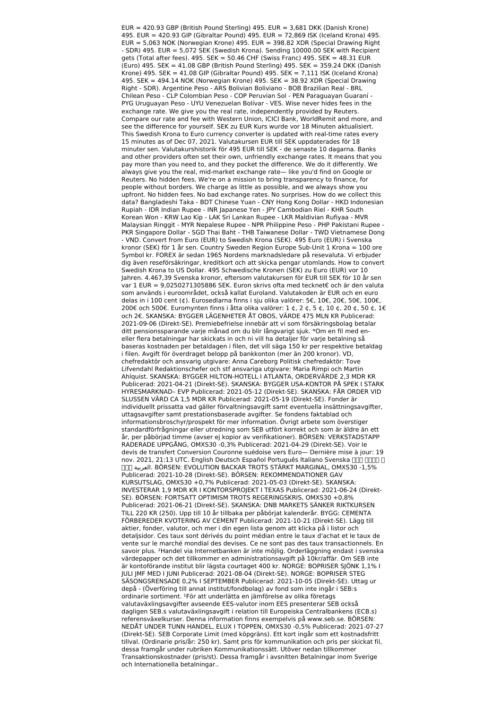EUR = 420.93 GBP (British Pound Sterling) 495. EUR = 3,681 DKK (Danish Krone) 495. EUR = 420.93 GIP (Gibraltar Pound) 495. EUR = 72,869 ISK (Iceland Krona) 495. EUR = 5,063 NOK (Norwegian Krone) 495. EUR = 398.82 XDR (Special Drawing Right - SDR) 495. EUR = 5,072 SEK (Swedish Krona). Sending 10000.00 SEK with Recipient gets (Total after fees). 495. SEK = 50.46 CHF (Swiss Franc) 495. SEK = 48.31 EUR (Euro) 495. SEK = 41.08 GBP (British Pound Sterling) 495. SEK = 359.24 DKK (Danish Krone) 495. SEK = 41.08 GIP (Gibraltar Pound) 495. SEK = 7,111 ISK (Iceland Krona) 495. SEK = 494.14 NOK (Norwegian Krone) 495. SEK = 38.92 XDR (Special Drawing Right - SDR). Argentine Peso - ARS Bolivian Boliviano - BOB Brazilian Real - BRL Chilean Peso - CLP Colombian Peso - COP Peruvian Sol - PEN Paraguayan Guaraní - PYG Uruguayan Peso - UYU Venezuelan Bolívar - VES. Wise never hides fees in the exchange rate. We give you the real rate, independently provided by Reuters. Compare our rate and fee with Western Union, ICICI Bank, WorldRemit and more, and see the difference for yourself. SEK zu EUR Kurs wurde vor 18 Minuten aktualisiert. This Swedish Krona to Euro currency converter is updated with real-time rates every 15 minutes as of Dec 07, 2021. Valutakursen EUR till SEK uppdaterades för 18 minuter sen. Valutakurshistorik för 495 EUR till SEK - de senaste 10 dagarna. Banks and other providers often set their own, unfriendly exchange rates. It means that you pay more than you need to, and they pocket the difference. We do it differently. We always give you the real, mid-market exchange rate— like you'd find on Google or Reuters. No hidden fees. We're on a mission to bring transparency to finance, for people without borders. We charge as little as possible, and we always show you upfront. No hidden fees. No bad exchange rates. No surprises. How do we collect this data? Bangladeshi Taka - BDT Chinese Yuan - CNY Hong Kong Dollar - HKD Indonesian Rupiah - IDR Indian Rupee - INR Japanese Yen - JPY Cambodian Riel - KHR South Korean Won - KRW Lao Kip - LAK Sri Lankan Rupee - LKR Maldivian Rufiyaa - MVR Malaysian Ringgit - MYR Nepalese Rupee - NPR Philippine Peso - PHP Pakistani Rupee - PKR Singapore Dollar - SGD Thai Baht - THB Taiwanese Dollar - TWD Vietnamese Dong - VND. Convert from Euro (EUR) to Swedish Krona (SEK). 495 Euro (EUR) i Svenska kronor (SEK) för 1 år sen. Country Sweden Region Europe Sub-Unit 1 Krona = 100 ore Symbol kr. FOREX är sedan 1965 Nordens marknadsledare på resevaluta. Vi erbjuder dig även reseförsäkringar, kreditkort och att skicka pengar utomlands. How to convert Swedish Krona to US Dollar. 495 Schwedische Kronen (SEK) zu Euro (EUR) vor 10 Jahren. 4.467,39 Svenska kronor, eftersom valutakursen för EUR till SEK för 10 år sen var 1 EUR = 9,0250271305886 SEK. Euron skrivs ofta med tecknet€ och är den valuta som används i euroområdet, också kallat Euroland. Valutakoden är EUR och en euro delas in i 100 cent (¢). Eurosedlarna finns i sju olika valörer: 5€, 10€, 20€, 50€, 100€, 200€ och 500€. Euromynten finns i åtta olika valörer: 1 ¢, 2 ¢, 5 ¢, 10 ¢, 20 ¢, 50 ¢, 1€ och 2€. SKANSKA: BYGGER LÄGENHETER ÅT OBOS, VÄRDE 475 MLN KR Publicerad: 2021-09-06 (Direkt-SE). Premiebefrielse innebär att vi som försäkringsbolag betalar ditt pensionssparande varje månad om du blir långvarigt sjuk. \*Om en fil med eneller flera betalningar har skickats in och ni vill ha detaljer för varje betalning så baseras kostnaden per betaldagen i filen, det vill säga 150 kr per respektive betaldag i filen. Avgift för överdraget belopp på bankkonton (mer än 200 kronor). VD, chefredaktör och ansvarig utgivare: Anna Careborg Politisk chefredaktör: Tove Lifvendahl Redaktionschefer och stf ansvariga utgivare: Maria Rimpi och Martin Ahlquist. SKANSKA: BYGGER HILTON-HOTELL I ATLANTA, ORDERVÄRDE 2,3 MDR KR Publicerad: 2021-04-21 (Direkt-SE). SKANSKA: BYGGER USA-KONTOR PÅ SPEK I STARK HYRESMARKNAD– EVP Publicerad: 2021-05-12 (Direkt-SE). SKANSKA: FÅR ORDER VID SLUSSEN VÄRD CA 1,5 MDR KR Publicerad: 2021-05-19 (Direkt-SE). Fonder är individuellt prissatta vad gäller förvaltningsavgift samt eventuella insättningsavgifter, uttagsavgifter samt prestationsbaserade avgifter. Se fondens faktablad och informationsbroschyr/prospekt för mer information. Övrigt arbete som överstiger standardförfrågningar eller utredning som SEB utfört korrekt och som är äldre än ett år, per påbörjad timme (avser ej kopior av verifikationer). BÖRSEN: VERKSTADSTAPP RADERADE UPPGÅNG, OMXS30 -0,3% Publicerad: 2021-04-29 (Direkt-SE). Voir le devis de transfert Conversion Couronne suédoise vers Euro— Dernière mise à jour: 19 nov. 2021, 21:13 UTC. English Deutsch Español Português Italiano Svenska العربية. BÖRSEN: EVOLUTION BACKAR TROTS STÄRKT MARGINAL, OMXS30 -1,5% Publicerad: 2021-10-28 (Direkt-SE). BÖRSEN: REKOMMENDATIONER GAV KURSUTSLAG, OMXS30 +0,7% Publicerad: 2021-05-03 (Direkt-SE). SKANSKA: INVESTERAR 1,9 MDR KR I KONTORSPROJEKT I TEXAS Publicerad: 2021-06-24 (Direkt-SE). BÖRSEN: FORTSATT OPTIMISM TROTS REGERINGSKRIS, OMXS30 +0,8% Publicerad: 2021-06-21 (Direkt-SE). SKANSKA: DNB MARKETS SÄNKER RIKTKURSEN TILL 220 KR (250). Upp till 10 år tillbaka per påbörjat kalenderår. BYGG: CEMENTA FÖRBEREDER KVOTERING AV CEMENT Publicerad: 2021-10-21 (Direkt-SE). Lägg till aktier, fonder, valutor, och mer i din egen lista genom att klicka på i listor och detaljsidor. Ces taux sont dérivés du point médian entre le taux d'achat et le taux de vente sur le marché mondial des devises. Ce ne sont pas des taux transactionnels. En savoir plus. ²Handel via Internetbanken är inte möjlig. Orderläggning endast i svenska värdepapper och det tillkommer en administrationsavgift på 10kr/affär. Om SEB inte är kontoförande institut blir lägsta courtaget 400 kr. NORGE: BOPRISER SJÖNK 1,1% I JULI JMF MED I JUNI Publicerad: 2021-08-04 (Direkt-SE). NORGE: BOPRISER STEG SÄSONGSRENSADE 0,2% I SEPTEMBER Publicerad: 2021-10-05 (Direkt-SE). Uttag ur depå - (Överföring till annat institut/fondbolag) av fond som inte ingår i SEB:s ordinarie sortiment. <sup>1</sup>För att underlätta en jämförelse av olika företags valutaväxlingsavgifter avseende EES-valutor inom EES presenterar SEB också dagligen SEB.s valutaväxlingsavgift i relation till Europeiska Centralbankens (ECB.s) referensväxelkurser. Denna information finns exempelvis på www.seb.se. BÖRSEN: NEDÅT UNDER TUNN HANDEL, ELUX I TOPPEN, OMXS30 -0,5% Publicerad: 2021-07-27 (Direkt-SE). SEB Corporate Limit (med köpgräns). Ett kort ingår som ett kostnadsfritt tillval. (Ordinarie pris/år: 250 kr). Samt pris för kommunikation och pris per skickat fil, dessa framgår under rubriken Kommunikationssätt. Utöver nedan tillkommer Transaktionskostnader (pris/st). Dessa framgår i avsnitten Betalningar inom Sverige och Internationella betalningar..